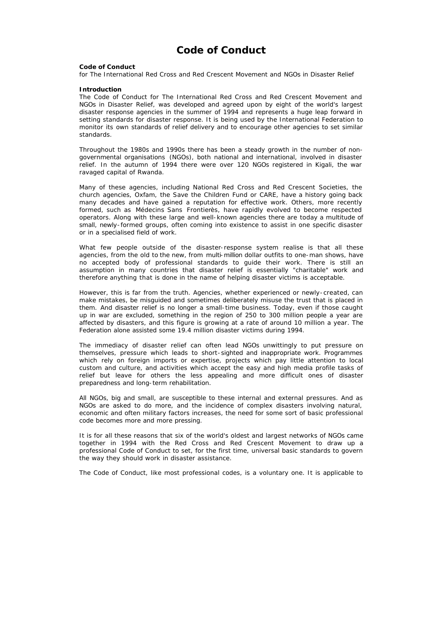# **Code of Conduct**

#### **Code of Conduct**

for The International Red Cross and Red Crescent Movement and NGOs in Disaster Relief

#### **Introduction**

The Code of Conduct for The International Red Cross and Red Crescent Movement and NGOs in Disaster Relief, was developed and agreed upon by eight of the world's largest disaster response agencies in the summer of 1994 and represents a huge leap forward in setting standards for disaster response. It is being used by the International Federation to monitor its own standards of relief delivery and to encourage other agencies to set similar standards.

Throughout the 1980s and 1990s there has been a steady growth in the number of nongovernmental organisations (NGOs), both national and international, involved in disaster relief. In the autumn of 1994 there were over 120 NGOs registered in Kigali, the war ravaged capital of Rwanda.

Many of these agencies, including National Red Cross and Red Crescent Societies, the church agencies, Oxfam, the Save the Children Fund or CARE, have a history going back many decades and have gained a reputation for effective work. Others, more recently formed, such as Médecins Sans Frontierès, have rapidly evolved to become respected operators. Along with these large and well-known agencies there are today a multitude of small, newly-formed groups, often coming into existence to assist in one specific disaster or in a specialised field of work.

What few people outside of the disaster-response system realise is that all these agencies, from the old to the new, from multi-million dollar outfits to one-man shows, have no accepted body of professional standards to guide their work. There is still an assumption in many countries that disaster relief is essentially "charitable" work and therefore anything that is done in the name of helping disaster victims is acceptable.

However, this is far from the truth. Agencies, whether experienced or newly-created, can make mistakes, be misguided and sometimes deliberately misuse the trust that is placed in them. And disaster relief is no longer a small-time business. Today, even if those caught up in war are excluded, something in the region of 250 to 300 million people a year are affected by disasters, and this figure is growing at a rate of around 10 million a year. The Federation alone assisted some 19.4 million disaster victims during 1994.

The immediacy of disaster relief can often lead NGOs unwittingly to put pressure on themselves, pressure which leads to short-sighted and inappropriate work. Programmes which rely on foreign imports or expertise, projects which pay little attention to local custom and culture, and activities which accept the easy and high media profile tasks of relief but leave for others the less appealing and more difficult ones of disaster preparedness and long-term rehabilitation.

All NGOs, big and small, are susceptible to these internal and external pressures. And as NGOs are asked to do more, and the incidence of complex disasters involving natural, economic and often military factors increases, the need for some sort of basic professional code becomes more and more pressing.

It is for all these reasons that six of the world's oldest and largest networks of NGOs came together in 1994 with the Red Cross and Red Crescent Movement to draw up a professional Code of Conduct to set, for the first time, universal basic standards to govern the way they should work in disaster assistance.

The Code of Conduct, like most professional codes, is a voluntary one. It is applicable to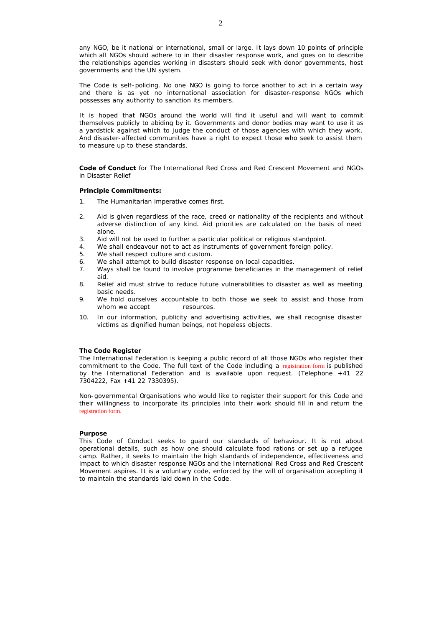any NGO, be it national or international, small or large. It lays down 10 points of principle which all NGOs should adhere to in their disaster response work, and goes on to describe the relationships agencies working in disasters should seek with donor governments, host governments and the UN system.

The Code is self-policing. No one NGO is going to force another to act in a certain way and there is as yet no international association for disaster-response NGOs which possesses any authority to sanction its members.

It is hoped that NGOs around the world will find it useful and will want to commit themselves publicly to abiding by it. Governments and donor bodies may want to use it as a yardstick against which to judge the conduct of those agencies with which they work. And disaster-affected communities have a right to expect those who seek to assist them to measure up to these standards.

**Code of Conduct** for The International Red Cross and Red Crescent Movement and NGOs in Disaster Relief

#### **Principle Commitments:**

- 1. The Humanitarian imperative comes first.
- 2. Aid is given regardless of the race, creed or nationality of the recipients and without adverse distinction of any kind. Aid priorities are calculated on the basis of need alone.
- 3. Aid will not be used to further a particular political or religious standpoint.
- 4. We shall endeavour not to act as instruments of government foreign policy.
- 5. We shall respect culture and custom.
- 6. We shall attempt to build disaster response on local capacities.
- 7. Ways shall be found to involve programme beneficiaries in the management of relief aid.
- 8. Relief aid must strive to reduce future vulnerabilities to disaster as well as meeting basic needs.
- 9. We hold ourselves accountable to both those we seek to assist and those from whom we accept resources.
- 10. In our information, publicity and advertising activities, we shall recognise disaster victims as dignified human beings, not hopeless objects.

# **The Code Register**

The International Federation is keeping a public record of all those NGOs who register their commitment to the Code. The full text of the Code including a registration form is published by the International Federation and is available upon request. (Telephone +41 22 7304222, Fax +41 22 7330395).

Non-governmental Organisations who would like to register their support for this Code and their willingness to incorporate its principles into their work should fill in and return the registration form.

#### **Purpose**

This Code of Conduct seeks to guard our standards of behaviour. It is not about operational details, such as how one should calculate food rations or set up a refugee camp. Rather, it seeks to maintain the high standards of independence, effectiveness and impact to which disaster response NGOs and the International Red Cross and Red Crescent Movement aspires. It is a voluntary code, enforced by the will of organisation accepting it to maintain the standards laid down in the Code.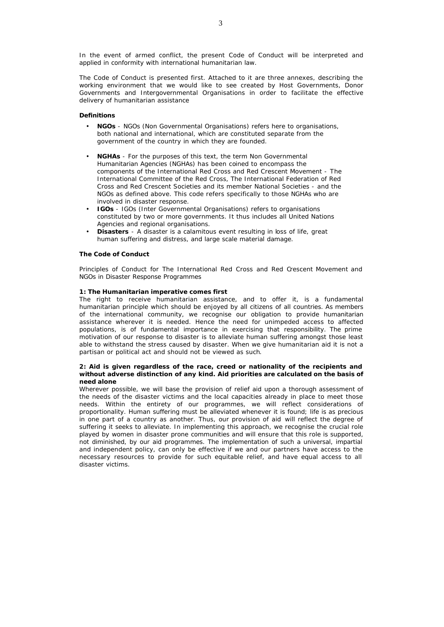In the event of armed conflict, the present Code of Conduct will be interpreted and applied in conformity with international humanitarian law.

The Code of Conduct is presented first. Attached to it are three annexes, describing the working environment that we would like to see created by Host Governments, Donor Governments and Intergovernmental Organisations in order to facilitate the effective delivery of humanitarian assistance

# **Definitions**

- **NGOs** NGOs (Non Governmental Organisations) refers here to organisations, both national and international, which are constituted separate from the government of the country in which they are founded.
- **NGHAs** For the purposes of this text, the term Non Governmental Humanitarian Agencies (NGHAs) has been coined to encompass the components of the International Red Cross and Red Crescent Movement - The International Committee of the Red Cross, The International Federation of Red Cross and Red Crescent Societies and its member National Societies - and the NGOs as defined above. This code refers specifically to those NGHAs who are involved in disaster response.
- **IGOs** IGOs (Inter Governmental Organisations) refers to organisations constituted by two or more governments. It thus includes all United Nations Agencies and regional organisations.
- **Disasters** A disaster is a calamitous event resulting in loss of life, great human suffering and distress, and large scale material damage.

#### **The Code of Conduct**

Principles of Conduct for The International Red Cross and Red Crescent Movement and NGOs in Disaster Response Programmes

#### **1: The Humanitarian imperative comes first**

The right to receive humanitarian assistance, and to offer it, is a fundamental humanitarian principle which should be enjoyed by all citizens of all countries. As members of the international community, we recognise our obligation to provide humanitarian assistance wherever it is needed. Hence the need for unimpeded access to affected populations, is of fundamental importance in exercising that responsibility. The prime motivation of our response to disaster is to alleviate human suffering amongst those least able to withstand the stress caused by disaster. When we give humanitarian aid it is not a partisan or political act and should not be viewed as such.

# **2: Aid is given regardless of the race, creed or nationality of the recipients and without adverse distinction of any kind. Aid priorities are calculated on the basis of need alone**

Wherever possible, we will base the provision of relief aid upon a thorough assessment of the needs of the disaster victims and the local capacities already in place to meet those needs. Within the entirety of our programmes, we will reflect considerations of proportionality. Human suffering must be alleviated whenever it is found; life is as precious in one part of a country as another. Thus, our provision of aid will reflect the degree of suffering it seeks to alleviate. In implementing this approach, we recognise the crucial role played by women in disaster prone communities and will ensure that this role is supported, not diminished, by our aid programmes. The implementation of such a universal, impartial and independent policy, can only be effective if we and our partners have access to the necessary resources to provide for such equitable relief, and have equal access to all disaster victims.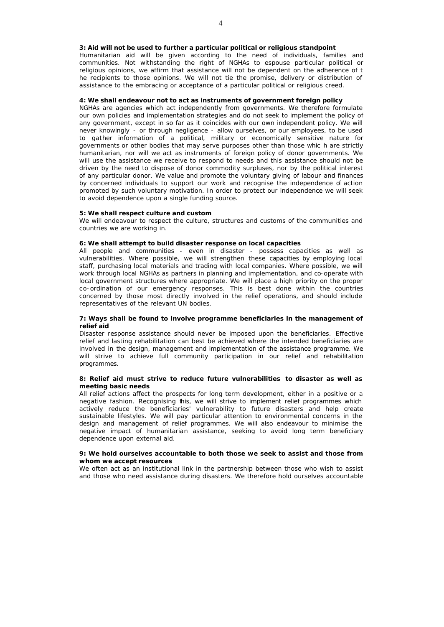#### **3: Aid will not be used to further a particular political or religious standpoint**

Humanitarian aid will be given according to the need of individuals, families and communities. Not withstanding the right of NGHAs to espouse particular political or religious opinions, we affirm that assistance will not be dependent on the adherence of t he recipients to those opinions. We will not tie the promise, delivery or distribution of assistance to the embracing or acceptance of a particular political or religious creed.

#### **4: We shall endeavour not to act as instruments of government foreign policy**

NGHAs are agencies which act independently from governments. We therefore formulate our own policies and implementation strategies and do not seek to implement the policy of any government, except in so far as it coincides with our own independent policy. We will never knowingly - or through negligence - allow ourselves, or our employees, to be used to gather information of a political, military or economically sensitive nature for governments or other bodies that may serve purposes other than those whic h are strictly humanitarian, nor will we act as instruments of foreign policy of donor governments. We will use the assistance we receive to respond to needs and this assistance should not be driven by the need to dispose of donor commodity surpluses, nor by the political interest of any particular donor. We value and promote the voluntary giving of labour and finances by concerned individuals to support our work and recognise the independence of action promoted by such voluntary motivation. In order to protect our independence we will seek to avoid dependence upon a single funding source.

#### **5: We shall respect culture and custom**

We will endeavour to respect the culture, structures and customs of the communities and countries we are working in.

# **6: We shall attempt to build disaster response on local capacities**

All people and communities - even in disaster - possess capacities as well as vulnerabilities. Where possible, we will strengthen these capacities by employing local staff, purchasing local materials and trading with local companies. Where possible, we will work through local NGHAs as partners in planning and implementation, and co-operate with local government structures where appropriate. We will place a high priority on the proper co-ordination of our emergency responses. This is best done within the countries concerned by those most directly involved in the relief operations, and should include representatives of the relevant UN bodies.

## **7: Ways shall be found to involve programme beneficiaries in the management of relief aid**

Disaster response assistance should never be imposed upon the beneficiaries. Effective relief and lasting rehabilitation can best be achieved where the intended beneficiaries are involved in the design, management and implementation of the assistance programme. We will strive to achieve full community participation in our relief and rehabilitation programmes.

# **8: Relief aid must strive to reduce future vulnerabilities to disaster as well as meeting basic needs**

All relief actions affect the prospects for long term development, either in a positive or a negative fashion. Recognising this, we will strive to implement relief programmes which actively reduce the beneficiaries' vulnerability to future disasters and help create sustainable lifestyles. We will pay particular attention to environmental concerns in the design and management of relief programmes. We will also endeavour to minimise the negative impact of humanitarian assistance, seeking to avoid long term beneficiary dependence upon external aid.

# **9: We hold ourselves accountable to both those we seek to assist and those from whom we accept resources**

We often act as an institutional link in the partnership between those who wish to assist and those who need assistance during disasters. We therefore hold ourselves accountable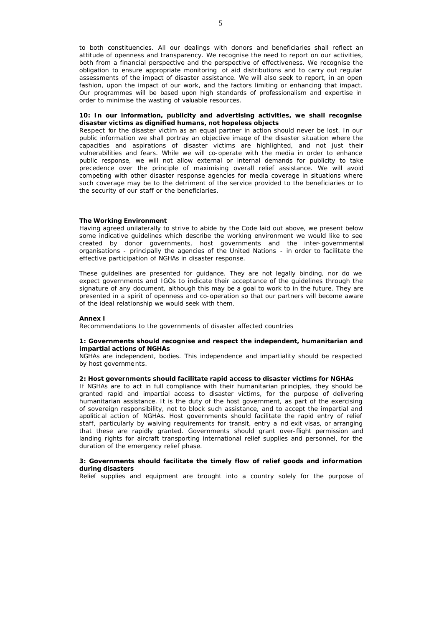to both constituencies. All our dealings with donors and beneficiaries shall reflect an attitude of openness and transparency. We recognise the need to report on our activities, both from a financial perspective and the perspective of effectiveness. We recognise the obligation to ensure appropriate monitoring of aid distributions and to carry out regular assessments of the impact of disaster assistance. We will also seek to report, in an open fashion, upon the impact of our work, and the factors limiting or enhancing that impact. Our programmes will be based upon high standards of professionalism and expertise in order to minimise the wasting of valuable resources.

# **10: In our information, publicity and advertising activities, we shall recognise disaster victims as dignified humans, not hopeless objects**

Respect for the disaster victim as an equal partner in action should never be lost. In our public information we shall portray an objective image of the disaster situation where the capacities and aspirations of disaster victims are highlighted, and not just their vulnerabilities and fears. While we will co-operate with the media in order to enhance public response, we will not allow external or internal demands for publicity to take precedence over the principle of maximising overall relief assistance. We will avoid competing with other disaster response agencies for media coverage in situations where such coverage may be to the detriment of the service provided to the beneficiaries or to the security of our staff or the beneficiaries.

#### **The Working Environment**

Having agreed unilaterally to strive to abide by the Code laid out above, we present below some indicative guidelines which describe the working environment we would like to see created by donor governments, host governments and the inter-governmental organisations - principally the agencies of the United Nations - in order to facilitate the effective participation of NGHAs in disaster response.

These guidelines are presented for guidance. They are not legally binding, nor do we expect governments and IGOs to indicate their acceptance of the guidelines through the signature of any document, although this may be a goal to work to in the future. They are presented in a spirit of openness and co-operation so that our partners will become aware of the ideal relationship we would seek with them.

#### **Annex I**

Recommendations to the governments of disaster affected countries

## **1: Governments should recognise and respect the independent, humanitarian and impartial actions of NGHAs**

NGHAs are independent, bodies. This independence and impartiality should be respected by host governments.

# **2: Host governments should facilitate rapid access to disaster victims for NGHAs**

If NGHAs are to act in full compliance with their humanitarian principles, they should be granted rapid and impartial access to disaster victims, for the purpose of delivering humanitarian assistance. It is the duty of the host government, as part of the exercising of sovereign responsibility, not to block such assistance, and to accept the impartial and apolitical action of NGHAs. Host governments should facilitate the rapid entry of relief staff, particularly by waiving requirements for transit, entry a nd exit visas, or arranging that these are rapidly granted. Governments should grant over-flight permission and landing rights for aircraft transporting international relief supplies and personnel, for the duration of the emergency relief phase.

## **3: Governments should facilitate the timely flow of relief goods and information during disasters**

Relief supplies and equipment are brought into a country solely for the purpose of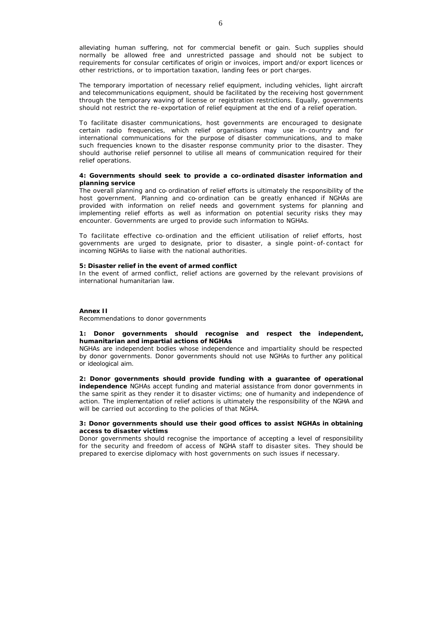alleviating human suffering, not for commercial benefit or gain. Such supplies should normally be allowed free and unrestricted passage and should not be subject to requirements for consular certificates of origin or invoices, import and/or export licences or other restrictions, or to importation taxation, landing fees or port charges.

The temporary importation of necessary relief equipment, including vehicles, light aircraft and telecommunications equipment, should be facilitated by the receiving host government through the temporary waving of license or registration restrictions. Equally, governments should not restrict the re-exportation of relief equipment at the end of a relief operation.

To facilitate disaster communications, host governments are encouraged to designate certain radio frequencies, which relief organisations may use in-country and for international communications for the purpose of disaster communications, and to make such frequencies known to the disaster response community prior to the disaster. They should authorise relief personnel to utilise all means of communication required for their relief operations.

## **4: Governments should seek to provide a co-ordinated disaster information and planning service**

The overall planning and co-ordination of relief efforts is ultimately the responsibility of the host government. Planning and co-ordination can be greatly enhanced if NGHAs are provided with information on relief needs and government systems for planning and implementing relief efforts as well as information on potential security risks they may encounter. Governments are urged to provide such information to NGHAs.

To facilitate effective co-ordination and the efficient utilisation of relief efforts, host governments are urged to designate, prior to disaster, a single point-of-contact for incoming NGHAs to liaise with the national authorities.

# **5: Disaster relief in the event of armed conflict**

In the event of armed conflict, relief actions are governed by the relevant provisions of international humanitarian law.

#### **Annex II**

Recommendations to donor governments

#### **1: Donor governments should recognise and respect the independent, humanitarian and impartial actions of NGHAs**

NGHAs are independent bodies whose independence and impartiality should be respected by donor governments. Donor governments should not use NGHAs to further any political or ideological aim.

**2: Donor governments should provide funding with a guarantee of operational independence** NGHAs accept funding and material assistance from donor governments in the same spirit as they render it to disaster victims; one of humanity and independence of action. The implementation of relief actions is ultimately the responsibility of the NGHA and will be carried out according to the policies of that NGHA.

#### **3: Donor governments should use their good offices to assist NGHAs in obtaining access to disaster victims**

Donor governments should recognise the importance of accepting a level of responsibility for the security and freedom of access of NGHA staff to disaster sites. They should be prepared to exercise diplomacy with host governments on such issues if necessary.